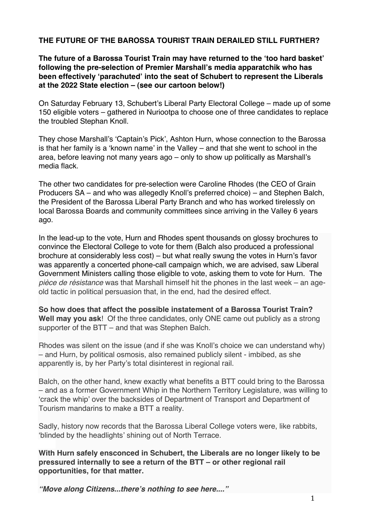## **THE FUTURE OF THE BAROSSA TOURIST TRAIN DERAILED STILL FURTHER?**

**The future of a Barossa Tourist Train may have returned to the ʻtoo hard basket' following the pre-selection of Premier Marshall's media apparatchik who has been effectively ʻparachuted' into the seat of Schubert to represent the Liberals at the 2022 State election – (see our cartoon below!)**

On Saturday February 13, Schubert's Liberal Party Electoral College – made up of some 150 eligible voters – gathered in Nuriootpa to choose one of three candidates to replace the troubled Stephan Knoll.

They chose Marshall's ʻCaptain's Pick', Ashton Hurn, whose connection to the Barossa is that her family is a ʻknown name' in the Valley – and that she went to school in the area, before leaving not many years ago – only to show up politically as Marshall's media flack.

The other two candidates for pre-selection were Caroline Rhodes (the CEO of Grain Producers SA – and who was allegedly Knoll's preferred choice) – and Stephen Balch, the President of the Barossa Liberal Party Branch and who has worked tirelessly on local Barossa Boards and community committees since arriving in the Valley 6 years ago.

In the lead-up to the vote, Hurn and Rhodes spent thousands on glossy brochures to convince the Electoral College to vote for them (Balch also produced a professional brochure at considerably less cost) – but what really swung the votes in Hurn's favor was apparently a concerted phone-call campaign which, we are advised, saw Liberal Government Ministers calling those eligible to vote, asking them to vote for Hurn. The *pièce de résistance* was that Marshall himself hit the phones in the last week – an ageold tactic in political persuasion that, in the end, had the desired effect.

**So how does that affect the possible instatement of a Barossa Tourist Train? Well may you ask**! Of the three candidates, only ONE came out publicly as a strong supporter of the BTT – and that was Stephen Balch.

Rhodes was silent on the issue (and if she was Knoll's choice we can understand why) – and Hurn, by political osmosis, also remained publicly silent - imbibed, as she apparently is, by her Party's total disinterest in regional rail.

Balch, on the other hand, knew exactly what benefits a BTT could bring to the Barossa – and as a former Government Whip in the Northern Territory Legislature, was willing to ʻcrack the whip' over the backsides of Department of Transport and Department of Tourism mandarins to make a BTT a reality.

Sadly, history now records that the Barossa Liberal College voters were, like rabbits, ʻblinded by the headlights' shining out of North Terrace.

**With Hurn safely ensconced in Schubert, the Liberals are no longer likely to be pressured internally to see a return of the BTT – or other regional rail opportunities, for that matter.**

*"Move along Citizens...there***'***s nothing to see here...."*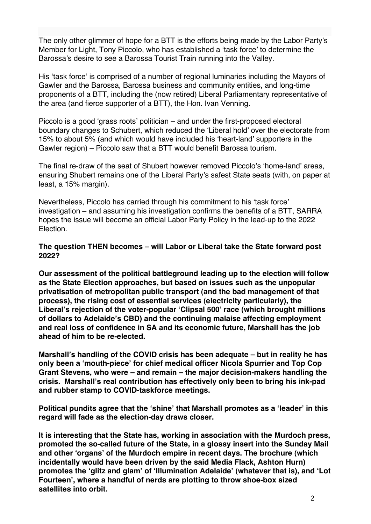The only other glimmer of hope for a BTT is the efforts being made by the Labor Party's Member for Light, Tony Piccolo, who has established a ʻtask force' to determine the Barossa's desire to see a Barossa Tourist Train running into the Valley.

His ʻtask force' is comprised of a number of regional luminaries including the Mayors of Gawler and the Barossa, Barossa business and community entities, and long-time proponents of a BTT, including the (now retired) Liberal Parliamentary representative of the area (and fierce supporter of a BTT), the Hon. Ivan Venning.

Piccolo is a good ʻgrass roots' politician – and under the first-proposed electoral boundary changes to Schubert, which reduced the ʻLiberal hold' over the electorate from 15% to about 5% (and which would have included his ʻheart-land' supporters in the Gawler region) – Piccolo saw that a BTT would benefit Barossa tourism.

The final re-draw of the seat of Shubert however removed Piccolo's ʻhome-land' areas, ensuring Shubert remains one of the Liberal Party's safest State seats (with, on paper at least, a 15% margin).

Nevertheless, Piccolo has carried through his commitment to his ʻtask force' investigation – and assuming his investigation confirms the benefits of a BTT, SARRA hopes the issue will become an official Labor Party Policy in the lead-up to the 2022 **Election** 

## **The question THEN becomes – will Labor or Liberal take the State forward post 2022?**

**Our assessment of the political battleground leading up to the election will follow as the State Election approaches, but based on issues such as the unpopular privatisation of metropolitan public transport (and the bad management of that process), the rising cost of essential services (electricity particularly), the Liberal's rejection of the voter-popular ʻClipsal 500' race (which brought millions of dollars to Adelaide's CBD) and the continuing malaise affecting employment and real loss of confidence in SA and its economic future, Marshall has the job ahead of him to be re-elected.** 

**Marshall's handling of the COVID crisis has been adequate – but in reality he has only been a ʻmouth-piece' for chief medical officer Nicola Spurrier and Top Cop Grant Stevens, who were – and remain – the major decision-makers handling the crisis. Marshall's real contribution has effectively only been to bring his ink-pad and rubber stamp to COVID-taskforce meetings.** 

**Political pundits agree that the ʻshine' that Marshall promotes as a ʻleader' in this regard will fade as the election-day draws closer.**

**It is interesting that the State has, working in association with the Murdoch press, promoted the so-called future of the State, in a glossy insert into the Sunday Mail and other ʻorgans' of the Murdoch empire in recent days. The brochure (which incidentally would have been driven by the said Media Flack, Ashton Hurn) promotes the ʻglitz and glam' of ʻIllumination Adelaide' (whatever that is), and ʻLot Fourteen', where a handful of nerds are plotting to throw shoe-box sized satellites into orbit.**